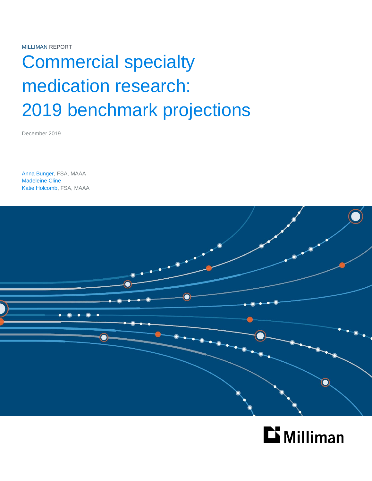MILLIMAN REPORT

# Commercial specialty medication research: 2019 benchmark projections

December 2019

Anna Bunger, FSA, MAAA Madeleine Cline Katie Holcomb, FSA, MAAA



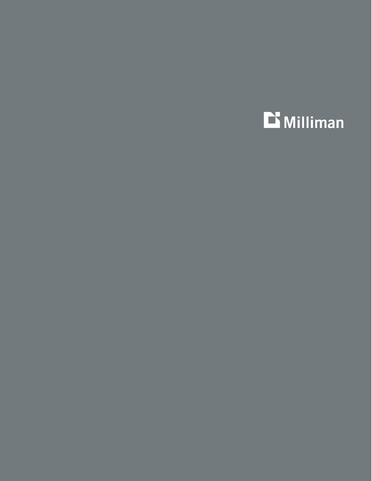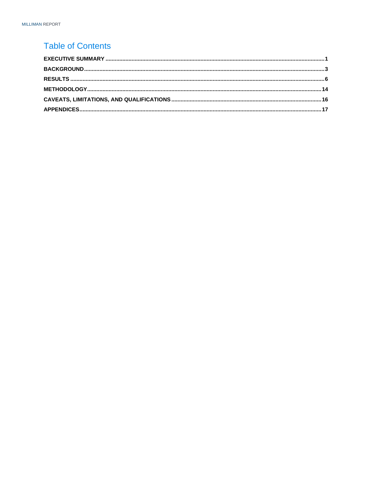### **Table of Contents**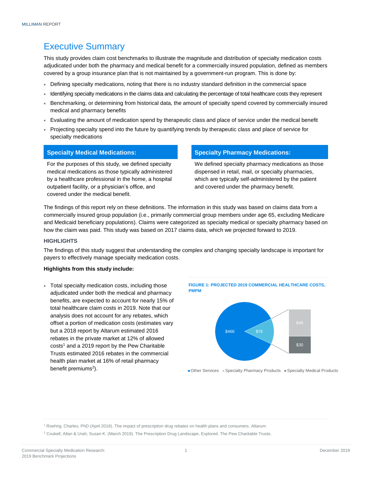### <span id="page-3-0"></span>Executive Summary

This study provides claim cost benchmarks to illustrate the magnitude and distribution of specialty medication costs adjudicated under both the pharmacy and medical benefit for a commercially insured population, defined as members covered by a group insurance plan that is not maintained by a government-run program. This is done by:

- Defining specialty medications, noting that there is no industry standard definition in the commercial space
- Identifying specialty medications in the claims data and calculating the percentage of total healthcare costs they represent
- Benchmarking, or determining from historical data, the amount of specialty spend covered by commercially insured medical and pharmacy benefits
- Evaluating the amount of medication spend by therapeutic class and place of service under the medical benefit
- Projecting specialty spend into the future by quantifying trends by therapeutic class and place of service for specialty medications

For the purposes of this study, we defined specialty medical medications as those typically administered by a healthcare professional in the home, a hospital outpatient facility, or a physician's office, and covered under the medical benefit.

### **Specialty Medical Medications: Specialty Pharmacy Medications:**

We defined specialty pharmacy medications as those dispensed in retail, mail, or specialty pharmacies, which are typically self-administered by the patient and covered under the pharmacy benefit.

The findings of this report rely on these definitions. The information in this study was based on claims data from a commercially insured group population (i.e., primarily commercial group members under age 65, excluding Medicare and Medicaid beneficiary populations). Claims were categorized as specialty medical or specialty pharmacy based on how the claim was paid. This study was based on 2017 claims data, which we projected forward to 2019.

#### **HIGHLIGHTS**

The findings of this study suggest that understanding the complex and changing specialty landscape is important for payers to effectively manage specialty medication costs.

#### **Highlights from this study include:**

 Total specialty medication costs, including those adjudicated under both the medical and pharmacy benefits, are expected to account for nearly 15% of total healthcare claim costs in 2019. Note that our analysis does not account for any rebates, which offset a portion of medication costs (estimates vary but a 2018 report by Altarum estimated 2016 rebates in the private market at 12% of allowed costs<sup>1</sup> and a 2019 report by the Pew Charitable Trusts estimated 2016 rebates in the commercial health plan market at 16% of retail pharmacy benefit premiums<sup>2</sup>).





■ Other Services ■ Specialty Pharmacy Products ■ Specialty Medical Products

<sup>1</sup> Roehrig, Charles, PhD (April 2018). The impact of prescription drug rebates on health plans and consumers. *Altarum*.

<sup>2</sup> Coukell, Allan & Urah, Susan K. (March 2019). The Prescription Drug Landscape, Explored. The Pew Charitable Trusts.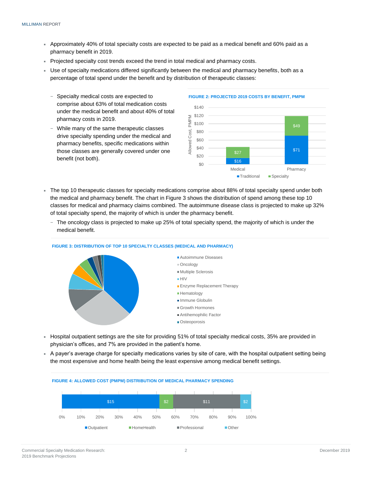- Approximately 40% of total specialty costs are expected to be paid as a medical benefit and 60% paid as a pharmacy benefit in 2019.
- Projected specialty cost trends exceed the trend in total medical and pharmacy costs.
- Use of specialty medications differed significantly between the medical and pharmacy benefits, both as a percentage of total spend under the benefit and by distribution of therapeutic classes:
	- − Specialty medical costs are expected to comprise about 63% of total medication costs under the medical benefit and about 40% of total pharmacy costs in 2019.
	- While many of the same therapeutic classes drive specialty spending under the medical and pharmacy benefits, specific medications within those classes are generally covered under one benefit (not both).



- The top 10 therapeutic classes for specialty medications comprise about 88% of total specialty spend under both the medical and pharmacy benefit. The chart in Figure 3 shows the distribution of spend among these top 10 classes for medical and pharmacy claims combined. The autoimmune disease class is projected to make up 32% of total specialty spend, the majority of which is under the pharmacy benefit.
	- − The oncology class is projected to make up 25% of total specialty spend, the majority of which is under the medical benefit.



#### **FIGURE 3: DISTRIBUTION OF TOP 10 SPECIALTY CLASSES (MEDICAL AND PHARMACY)**

- Hospital outpatient settings are the site for providing 51% of total specialty medical costs, 35% are provided in physician's offices, and 7% are provided in the patient's home.
- A payer's average charge for specialty medications varies by site of care, with the hospital outpatient setting being the most expensive and home health being the least expensive among medical benefit settings.

<span id="page-4-0"></span>

**FIGURE 4: ALLOWED COST (PMPM) DISTRIBUTION OF MEDICAL PHARMACY SPENDING**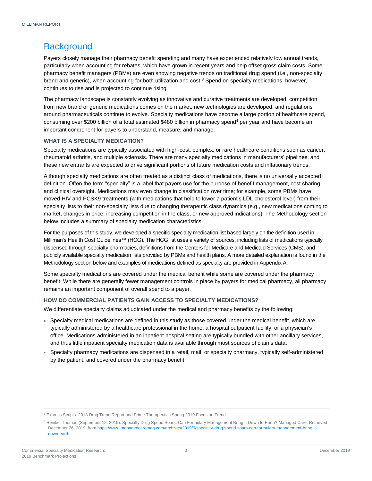### **Background**

Payers closely manage their pharmacy benefit spending and many have experienced relatively low annual trends, particularly when accounting for rebates, which have grown in recent years and help offset gross claim costs. Some pharmacy benefit managers (PBMs) are even showing negative trends on traditional drug spend (i.e., non-specialty brand and generic), when accounting for both utilization and cost.<sup>3</sup> Spend on specialty medications, however, continues to rise and is projected to continue rising.

The pharmacy landscape is constantly evolving as innovative and curative treatments are developed, competition from new brand or generic medications comes on the market, new technologies are developed, and regulations around pharmaceuticals continue to evolve. Specialty medications have become a large portion of healthcare spend, consuming over \$200 billion of a total estimated \$480 billion in pharmacy spend<sup>4</sup> per year and have become an important component for payers to understand, measure, and manage.

### **WHAT IS A SPECIALTY MEDICATION?**

Specialty medications are typically associated with high-cost, complex, or rare healthcare conditions such as cancer, rheumatoid arthritis, and multiple sclerosis. There are many specialty medications in manufacturers' pipelines, and these new entrants are expected to drive significant portions of future medication costs and inflationary trends.

Although specialty medications are often treated as a distinct class of medications, there is no universally accepted definition. Often the term "specialty" is a label that payers use for the purpose of benefit management, cost sharing, and clinical oversight. Medications may even change in classification over time; for example, some PBMs have moved HIV and PCSK9 treatments (with medications that help to lower a patient's LDL cholesterol level) from their specialty lists to their non-specialty lists due to changing therapeutic class dynamics (e.g., new medications coming to market, changes in price, increasing competition in the class, or new approved indications). The Methodology section below includes a summary of specialty medication characteristics.

For the purposes of this study, we developed a specific specialty medication list based largely on the definition used in Milliman's Health Cost Guidelines™ (HCG). The HCG list uses a variety of sources, including lists of medications typically dispensed through specialty pharmacies, definitions from the Centers for Medicare and Medicaid Services (CMS), and publicly available specialty medication lists provided by PBMs and health plans. A more detailed explanation is found in the Methodology section below and examples of medications defined as specialty are provided in Appendix A.

Some specialty medications are covered under the medical benefit while some are covered under the pharmacy benefit. While there are generally fewer management controls in place by payers for medical pharmacy, all pharmacy remains an important component of overall spend to a payer.

#### **HOW DO COMMERCIAL PATIENTS GAIN ACCESS TO SPECIALTY MEDICATIONS?**

We differentiate specialty claims adjudicated under the medical and pharmacy benefits by the following:

- Specialty medical medications are defined in this study as those covered under the medical benefit, which are typically administered by a healthcare professional in the home, a hospital outpatient facility, or a physician's office. Medications administered in an inpatient hospital setting are typically bundled with other ancillary services, and thus little inpatient specialty medication data is available through most sources of claims data.
- Specialty pharmacy medications are dispensed in a retail, mail, or specialty pharmacy, typically self-administered by the patient, and covered under the pharmacy benefit.

<sup>3</sup> Express Scripts. 2018 Drug Trend Report and Prime Therapeutics Spring 2019 Focus on Trend.

<sup>4</sup> Reinke, Thomas (September 18, 2019). Specialty Drug Spend Soars. Can Formulary Management Bring It Down to Earth? Managed Care. Retrieved December 26, 2019, fro[m https://www.managedcaremag.com/archives/2019/9/specialty-drug-spend-soars-can-formulary-management-bring-it](https://www.managedcaremag.com/archives/2019/9/specialty-drug-spend-soars-can-formulary-management-bring-it-down-earth)[down-earth.](https://www.managedcaremag.com/archives/2019/9/specialty-drug-spend-soars-can-formulary-management-bring-it-down-earth)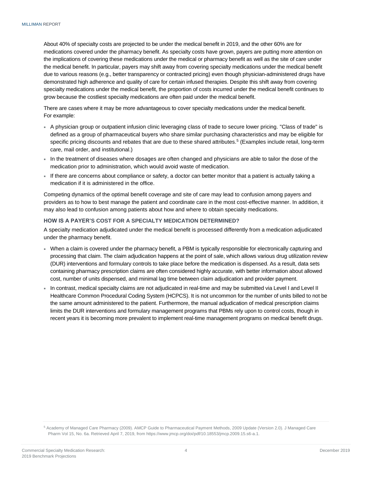About 40% of specialty costs are projected to be under the medical benefit in 2019, and the other 60% are for medications covered under the pharmacy benefit. As specialty costs have grown, payers are putting more attention on the implications of covering these medications under the medical or pharmacy benefit as well as the site of care under the medical benefit. In particular, payers may shift away from covering specialty medications under the medical benefit due to various reasons (e.g., better transparency or contracted pricing) even though physician-administered drugs have demonstrated high adherence and quality of care for certain infused therapies. Despite this shift away from covering specialty medications under the medical benefit, the proportion of costs incurred under the medical benefit continues to grow because the costliest specialty medications are often paid under the medical benefit.

There are cases where it may be more advantageous to cover specialty medications under the medical benefit. For example:

- A physician group or outpatient infusion clinic leveraging class of trade to secure lower pricing. "Class of trade" is defined as a group of pharmaceutical buyers who share similar purchasing characteristics and may be eligible for specific pricing discounts and rebates that are due to these shared attributes.<sup>5</sup> (Examples include retail, long-term care, mail order, and institutional.)
- In the treatment of diseases where dosages are often changed and physicians are able to tailor the dose of the medication prior to administration, which would avoid waste of medication.
- If there are concerns about compliance or safety, a doctor can better monitor that a patient is actually taking a medication if it is administered in the office.

Competing dynamics of the optimal benefit coverage and site of care may lead to confusion among payers and providers as to how to best manage the patient and coordinate care in the most cost-effective manner. In addition, it may also lead to confusion among patients about how and where to obtain specialty medications.

#### **HOW IS A PAYER'S COST FOR A SPECIALTY MEDICATION DETERMINED?**

A specialty medication adjudicated under the medical benefit is processed differently from a medication adjudicated under the pharmacy benefit.

- When a claim is covered under the pharmacy benefit, a PBM is typically responsible for electronically capturing and processing that claim. The claim adjudication happens at the point of sale, which allows various drug utilization review (DUR) interventions and formulary controls to take place before the medication is dispensed. As a result, data sets containing pharmacy prescription claims are often considered highly accurate, with better information about allowed cost, number of units dispensed, and minimal lag time between claim adjudication and provider payment.
- In contrast, medical specialty claims are not adjudicated in real-time and may be submitted via Level I and Level II Healthcare Common Procedural Coding System (HCPCS). It is not uncommon for the number of units billed to not be the same amount administered to the patient. Furthermore, the manual adjudication of medical prescription claims limits the DUR interventions and formulary management programs that PBMs rely upon to control costs, though in recent years it is becoming more prevalent to implement real-time management programs on medical benefit drugs.

<sup>5</sup> Academy of Managed Care Pharmacy (2009). AMCP Guide to Pharmaceutical Payment Methods, 2009 Update (Version 2.0). J Managed Care Pharm Vol 15, No. 6a. Retrieved April 7, 2019, from https://www.jmcp.org/doi/pdf/10.18553/jmcp.2009.15.s6-a.1.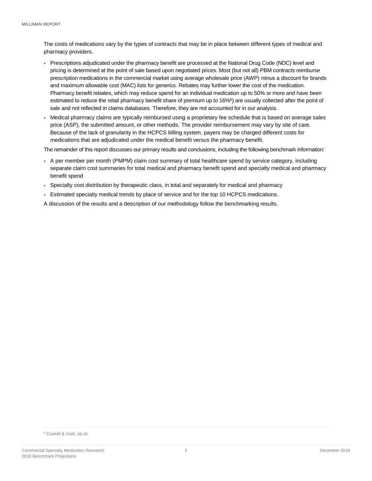The costs of medications vary by the types of contracts that may be in place between different types of medical and pharmacy providers.

- Prescriptions adjudicated under the pharmacy benefit are processed at the National Drug Code (NDC) level and pricing is determined at the point of sale based upon negotiated prices. Most (but not all) PBM contracts reimburse prescription medications in the commercial market using average wholesale price (AWP) minus a discount for brands and maximum allowable cost (MAC) lists for generics. Rebates may further lower the cost of the medication. Pharmacy benefit rebates, which may reduce spend for an individual medication up to 50% or more and have been estimated to reduce the retail pharmacy benefit share of premium up to 16%<sup>6</sup>) are usually collected after the point of sale and not reflected in claims databases. Therefore, they are not accounted for in our analysis.
- Medical pharmacy claims are typically reimbursed using a proprietary fee schedule that is based on average sales price (ASP), the submitted amount, or other methods. The provider reimbursement may vary by site of care. Because of the lack of granularity in the HCPCS billing system, payers may be charged different costs for medications that are adjudicated under the medical benefit versus the pharmacy benefit.

The remainder of this report discusses our primary results and conclusions, including the following benchmark information:

- A per member per month (PMPM) claim cost summary of total healthcare spend by service category, including separate claim cost summaries for total medical and pharmacy benefit spend and specialty medical and pharmacy benefit spend
- Specialty cost distribution by therapeutic class, in total and separately for medical and pharmacy
- Estimated specialty medical trends by place of service and for the top 10 HCPCS medications.

<span id="page-7-0"></span>A discussion of the results and a description of our methodology follow the benchmarking results.

<sup>6</sup> Coukell & Urah, op cit.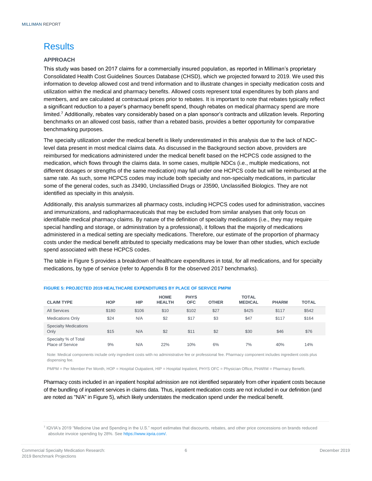### **Results**

#### **APPROACH**

This study was based on 2017 claims for a commercially insured population, as reported in Milliman's proprietary Consolidated Health Cost Guidelines Sources Database (CHSD), which we projected forward to 2019. We used this information to develop allowed cost and trend information and to illustrate changes in specialty medication costs and utilization within the medical and pharmacy benefits. Allowed costs represent total expenditures by both plans and members, and are calculated at contractual prices prior to rebates. It is important to note that rebates typically reflect a significant reduction to a payer's pharmacy benefit spend, though rebates on medical pharmacy spend are more limited.<sup>7</sup> Additionally, rebates vary considerably based on a plan sponsor's contracts and utilization levels. Reporting benchmarks on an allowed cost basis, rather than a rebated basis, provides a better opportunity for comparative benchmarking purposes.

The specialty utilization under the medical benefit is likely underestimated in this analysis due to the lack of NDClevel data present in most medical claims data. As discussed in the Background section above, providers are reimbursed for medications administered under the medical benefit based on the HCPCS code assigned to the medication, which flows through the claims data. In some cases, multiple NDCs (i.e., multiple medications, not different dosages or strengths of the same medication) may fall under one HCPCS code but will be reimbursed at the same rate. As such, some HCPCS codes may include both specialty and non-specialty medications, in particular some of the general codes, such as J3490, Unclassified Drugs or J3590, Unclassified Biologics. They are not identified as specialty in this analysis.

Additionally, this analysis summarizes all pharmacy costs, including HCPCS codes used for administration, vaccines and immunizations, and radiopharmaceuticals that may be excluded from similar analyses that only focus on identifiable medical pharmacy claims. By nature of the definition of specialty medications (i.e., they may require special handling and storage, or administration by a professional), it follows that the majority of medications administered in a medical setting are specialty medications. Therefore, our estimate of the proportion of pharmacy costs under the medical benefit attributed to specialty medications may be lower than other studies, which exclude spend associated with these HCPCS codes.

The table in Figure 5 provides a breakdown of healthcare expenditures in total, for all medications, and for specialty medications, by type of service (refer to Appendix B for the observed 2017 benchmarks).

| <b>CLAIM TYPE</b>                               | <b>HOP</b> | HIP   | <b>HOME</b><br><b>HEALTH</b> | <b>PHYS</b><br><b>OFC</b> | <b>OTHER</b> | <b>TOTAL</b><br><b>MEDICAL</b> | <b>PHARM</b> | <b>TOTAL</b> |
|-------------------------------------------------|------------|-------|------------------------------|---------------------------|--------------|--------------------------------|--------------|--------------|
| <b>All Services</b>                             | \$180      | \$106 | \$10                         | \$102                     | \$27         | \$425                          | \$117        | \$542        |
| <b>Medications Only</b>                         | \$24       | N/A   | \$2                          | \$17                      | \$3          | \$47                           | \$117        | \$164        |
| <b>Specialty Medications</b><br>Only            | \$15       | N/A   | \$2                          | \$11                      | \$2          | \$30                           | \$46         | \$76         |
| Specialty % of Total<br><b>Place of Service</b> | 9%         | N/A   | 22%                          | 10%                       | 6%           | 7%                             | 40%          | 14%          |

#### **FIGURE 5: PROJECTED 2019 HEALTHCARE EXPENDITURES BY PLACE OF SERVICE PMPM**

Note: Medical components include only ingredient costs with no administrative fee or professional fee. Pharmacy component includes ingredient costs plus dispensing fee.

PMPM = Per Member Per Month, HOP = Hospital Outpatient, HIP = Hospital Inpatient, PHYS OFC = Physician Office, PHARM = Pharmacy Benefit.

Pharmacy costs included in an inpatient hospital admission are not identified separately from other inpatient costs because of the bundling of inpatient services in claims data. Thus, inpatient medication costs are not included in our definition (and are noted as "N/A" in Figure 5), which likely understates the medication spend under the medical benefit.

<sup>7</sup> IQVIA's 2019 "Medicine Use and Spending in the U.S." report estimates that discounts, rebates, and other price concessions on brands reduced absolute invoice spending by 28%. Se[e https://www.iqvia.com/.](https://www.iqvia.com/)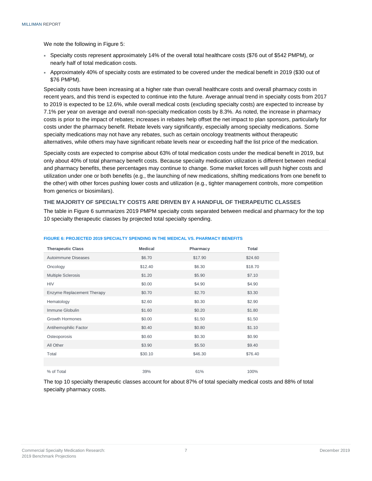We note the following in Figure 5:

- Specialty costs represent approximately 14% of the overall total healthcare costs (\$76 out of \$542 PMPM), or nearly half of total medication costs.
- Approximately 40% of specialty costs are estimated to be covered under the medical benefit in 2019 (\$30 out of \$76 PMPM).

Specialty costs have been increasing at a higher rate than overall healthcare costs and overall pharmacy costs in recent years, and this trend is expected to continue into the future. Average annual trend in specialty costs from 2017 to 2019 is expected to be 12.6%, while overall medical costs (excluding specialty costs) are expected to increase by 7.1% per year on average and overall non-specialty medication costs by 8.3%. As noted, the increase in pharmacy costs is prior to the impact of rebates; increases in rebates help offset the net impact to plan sponsors, particularly for costs under the pharmacy benefit. Rebate levels vary significantly, especially among specialty medications. Some specialty medications may not have any rebates, such as certain oncology treatments without therapeutic alternatives, while others may have significant rebate levels near or exceeding half the list price of the medication.

Specialty costs are expected to comprise about 63% of total medication costs under the medical benefit in 2019, but only about 40% of total pharmacy benefit costs. Because specialty medication utilization is different between medical and pharmacy benefits, these percentages may continue to change. Some market forces will push higher costs and utilization under one or both benefits (e.g., the launching of new medications, shifting medications from one benefit to the other) with other forces pushing lower costs and utilization (e.g., tighter management controls, more competition from generics or biosimilars).

#### **THE MAJORITY OF SPECIALTY COSTS ARE DRIVEN BY A HANDFUL OF THERAPEUTIC CLASSES**

The table in Figure 6 summarizes 2019 PMPM specialty costs separated between medical and pharmacy for the top 10 specialty therapeutic classes by projected total specialty spending.

| <b>Therapeutic Class</b>          | <b>Medical</b> | Pharmacy | <b>Total</b> |
|-----------------------------------|----------------|----------|--------------|
| Autoimmune Diseases               | \$6.70         | \$17.90  | \$24.60      |
| Oncology                          | \$12.40        | \$6.30   | \$18.70      |
| <b>Multiple Sclerosis</b>         | \$1.20         | \$5.90   | \$7.10       |
| <b>HIV</b>                        | \$0.00         | \$4.90   | \$4.90       |
| <b>Enzyme Replacement Therapy</b> | \$0.70         | \$2.70   | \$3.30       |
| Hematology                        | \$2.60         | \$0.30   | \$2.90       |
| Immune Globulin                   | \$1.60         | \$0.20   | \$1.80       |
| <b>Growth Hormones</b>            | \$0.00         | \$1.50   | \$1.50       |
| Antihemophilic Factor             | \$0.40         | \$0.80   | \$1.10       |
| Osteoporosis                      | \$0.60         | \$0.30   | \$0.90       |
| All Other                         | \$3.90         | \$5.50   | \$9.40       |
| Total                             | \$30.10        | \$46.30  | \$76.40      |
|                                   |                |          |              |
| % of Total                        | 39%            | 61%      | 100%         |

#### **FIGURE 6: PROJECTED 2019 SPECIALTY SPENDING IN THE MEDICAL VS. PHARMACY BENEFITS**

The top 10 specialty therapeutic classes account for about 87% of total specialty medical costs and 88% of total specialty pharmacy costs.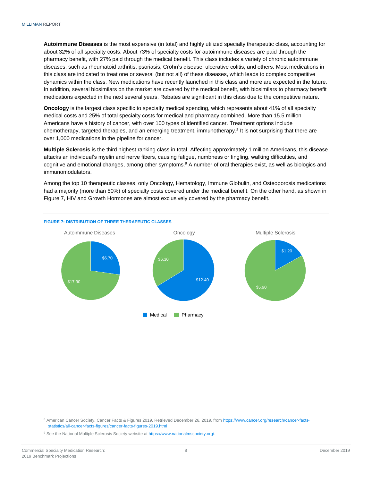**Autoimmune Diseases** is the most expensive (in total) and highly utilized specialty therapeutic class, accounting for about 32% of all specialty costs. About 73% of specialty costs for autoimmune diseases are paid through the pharmacy benefit, with 27% paid through the medical benefit. This class includes a variety of chronic autoimmune diseases, such as rheumatoid arthritis, psoriasis, Crohn's disease, ulcerative colitis, and others. Most medications in this class are indicated to treat one or several (but not all) of these diseases, which leads to complex competitive dynamics within the class. New medications have recently launched in this class and more are expected in the future. In addition, several biosimilars on the market are covered by the medical benefit, with biosimilars to pharmacy benefit medications expected in the next several years. Rebates are significant in this class due to the competitive nature.

**Oncology** is the largest class specific to specialty medical spending, which represents about 41% of all specialty medical costs and 25% of total specialty costs for medical and pharmacy combined. More than 15.5 million Americans have a history of cancer, with over 100 types of identified cancer. Treatment options include chemotherapy, targeted therapies, and an emerging treatment, immunotherapy.<sup>8</sup> It is not surprising that there are over 1,000 medications in the pipeline for cancer.

**Multiple Sclerosis** is the third highest ranking class in total. Affecting approximately 1 million Americans, this disease attacks an individual's myelin and nerve fibers, causing fatigue, numbness or tingling, walking difficulties, and cognitive and emotional changes, among other symptoms.<sup>9</sup> A number of oral therapies exist, as well as biologics and immunomodulators.

Among the top 10 therapeutic classes, only Oncology, Hematology, Immune Globulin, and Osteoporosis medications had a majority (more than 50%) of specialty costs covered under the medical benefit. On the other hand, as shown in Figure 7, HIV and Growth Hormones are almost exclusively covered by the pharmacy benefit.



<sup>8</sup> American Cancer Society. Cancer Facts & Figures 2019. Retrieved December 26, 2019, fro[m https://www.cancer.org/research/cancer](https://www.cancer.org/research/cancer‐facts‐statistics/all‐cancer‐facts‐figures/cancer‐facts‐figures‐2019.html)-factsstatistics/all‐cancer‐facts‐[figures/cancer](https://www.cancer.org/research/cancer‐facts‐statistics/all‐cancer‐facts‐figures/cancer‐facts‐figures‐2019.html)‐facts‐figures‐2019.html

<sup>9</sup> See the National Multiple Sclerosis Society website at [https://www.nationalmssociety.org/.](https://www.nationalmssociety.org/)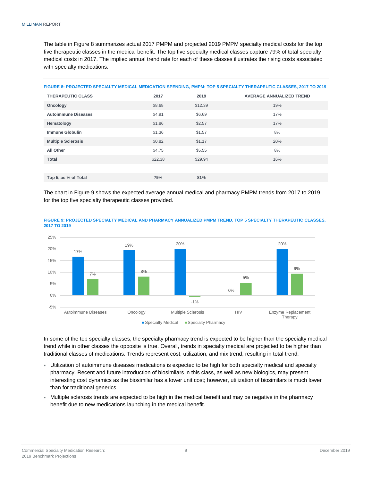The table in Figure 8 summarizes actual 2017 PMPM and projected 2019 PMPM specialty medical costs for the top five therapeutic classes in the medical benefit. The top five specialty medical classes capture 79% of total specialty medical costs in 2017. The implied annual trend rate for each of these classes illustrates the rising costs associated with specialty medications.

| FIGURE 8: PROJECTED SPECIALTY MEDICAL MEDICATION SPENDING, PMPM: TOP 5 SPECIALTY THERAPEUTIC CLASSES, 2017 TO 2019 |  |
|--------------------------------------------------------------------------------------------------------------------|--|
|--------------------------------------------------------------------------------------------------------------------|--|

| <b>THERAPEUTIC CLASS</b>   | 2017    | 2019    | <b>AVERAGE ANNUALIZED TREND</b> |
|----------------------------|---------|---------|---------------------------------|
| Oncology                   | \$8.68  | \$12.39 | 19%                             |
| <b>Autoimmune Diseases</b> | \$4.91  | \$6.69  | 17%                             |
| Hematology                 | \$1.86  | \$2.57  | 17%                             |
| <b>Immune Globulin</b>     | \$1.36  | \$1.57  | 8%                              |
| <b>Multiple Sclerosis</b>  | \$0.82  | \$1.17  | 20%                             |
| All Other                  | \$4.75  | \$5.55  | 8%                              |
| <b>Total</b>               | \$22.38 | \$29.94 | 16%                             |
|                            |         |         |                                 |
| Top 5, as % of Total       | 79%     | 81%     |                                 |

The chart in Figure 9 shows the expected average annual medical and pharmacy PMPM trends from 2017 to 2019 for the top five specialty therapeutic classes provided.



**FIGURE 9: PROJECTED SPECIALTY MEDICAL AND PHARMACY ANNUALIZED PMPM TREND, TOP 5 SPECIALTY THERAPEUTIC CLASSES, 2017 TO 2019**

In some of the top specialty classes, the specialty pharmacy trend is expected to be higher than the specialty medical trend while in other classes the opposite is true. Overall, trends in specialty medical are projected to be higher than traditional classes of medications. Trends represent cost, utilization, and mix trend, resulting in total trend.

- Utilization of autoimmune diseases medications is expected to be high for both specialty medical and specialty pharmacy. Recent and future introduction of biosimilars in this class, as well as new biologics, may present interesting cost dynamics as the biosimilar has a lower unit cost; however, utilization of biosimilars is much lower than for traditional generics.
- Multiple sclerosis trends are expected to be high in the medical benefit and may be negative in the pharmacy benefit due to new medications launching in the medical benefit.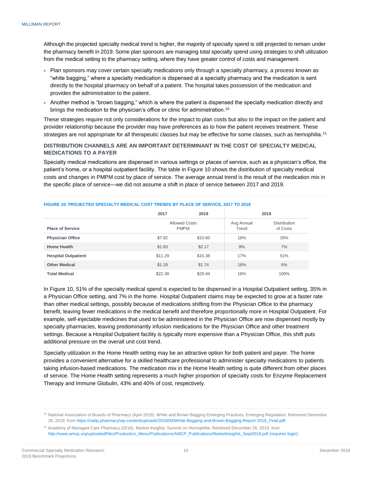Although the projected specialty medical trend is higher, the majority of specialty spend is still projected to remain under the pharmacy benefit in 2019. Some plan sponsors are managing total specialty spend using strategies to shift utilization from the medical setting to the pharmacy setting, where they have greater control of costs and management.

- Plan sponsors may cover certain specialty medications only through a specialty pharmacy, a process known as "white bagging," where a specialty medication is dispensed at a specialty pharmacy and the medication is sent directly to the hospital pharmacy on behalf of a patient. The hospital takes possession of the medication and provides the administration to the patient.
- Another method is "brown bagging," which is where the patient is dispensed the specialty medication directly and brings the medication to the physician's office or clinic for administration.<sup>10</sup>

These strategies require not only considerations for the impact to plan costs but also to the impact on the patient and provider relationship because the provider may have preferences as to how the patient receives treatment. These strategies are not appropriate for all therapeutic classes but may be effective for some classes, such as hemophilia.<sup>11</sup>

#### **DISTRIBUTION CHANNELS ARE AN IMPORTANT DETERMINANT IN THE COST OF SPECIALTY MEDICAL MEDICATIONS TO A PAYER**

Specialty medical medications are dispensed in various settings or places of service, such as a physician's office, the patient's home, or a hospital outpatient facility. The table in Figure 10 shows the distribution of specialty medical costs and changes in PMPM cost by place of service. The average annual trend is the result of the medication mix in the specific place of service—we did not assume a shift in place of service between 2017 and 2019.

|                            | 2017    | 2019                                |     | 2019                            |  |  |
|----------------------------|---------|-------------------------------------|-----|---------------------------------|--|--|
| <b>Place of Service</b>    |         | <b>Allowed Costs</b><br><b>PMPM</b> |     | <b>Distribution</b><br>of Costs |  |  |
| <b>Physician Office</b>    | \$7.92  | \$10.60                             | 16% | 35%                             |  |  |
| <b>Home Health</b>         | \$1.83  | \$2.17                              | 9%  | 7%                              |  |  |
| <b>Hospital Outpatient</b> | \$11.29 | \$15.38                             | 17% | 51%                             |  |  |
| <b>Other Medical</b>       | \$1.28  | \$1.74                              | 16% | 6%                              |  |  |
| <b>Total Medical</b>       | \$22.38 | \$29.94                             | 16% | 100%                            |  |  |

#### **FIGURE 10: PROJECTED SPECIALTY MEDICAL COST TRENDS BY PLACE OF SERVICE, 2017 TO 2019**

In Figure 10, 51% of the specialty medical spend is expected to be dispensed in a Hospital Outpatient setting, 35% in a Physician Office setting, and 7% in the home. Hospital Outpatient claims may be expected to grow at a faster rate than other medical settings, possibly because of medications shifting from the Physician Office to the pharmacy benefit, leaving fewer medications in the medical benefit and therefore proportionally more in Hospital Outpatient. For example, self-injectable medicines that used to be administered in the Physician Office are now dispensed mostly by specialty pharmacies, leaving predominantly infusion medications for the Physician Office and other treatment settings. Because a Hospital Outpatient facility is typically more expensive than a Physician Office, this shift puts additional pressure on the overall unit cost trend.

Specialty utilization in the Home Health setting may be an attractive option for both patient and payer. The home provides a convenient alternative for a skilled healthcare professional to administer specialty medications to patients taking infusion-based medications. The medication mix in the Home Health setting is quite different from other places of service. The Home Health setting represents a much higher proportion of specialty costs for Enzyme Replacement Therapy and Immune Globulin, 43% and 40% of cost, respectively.

<sup>&</sup>lt;sup>10</sup> National Association of Boards of Pharmacy (April 2018). White and Brown Bagging Emerging Practices, Emerging Regulation. Retrieved December 26, 2019, fro[m https://nabp.pharmacy/wp-content/uploads/2018/04/White-Bagging-and-Brown-Bagging-Report-2018\\_Final.pdf.](https://nabp.pharmacy/wp-content/uploads/2018/04/White-Bagging-and-Brown-Bagging-Report-2018_Final.pdf)

<sup>11</sup> Academy of Managed Care Pharmacy (2018). Market Insights: Summit on Hemophilia. Retrieved December 26, 2019, from [http://www.amcp.org/uploadedFiles/Production\\_Menu/Publications/AMCP\\_Publications/MarketInsights\\_Sept2018.pdf](http://www.amcp.org/uploadedFiles/Production_Menu/Publications/AMCP_Publications/MarketInsights_Sept2018.pdf) (requires login).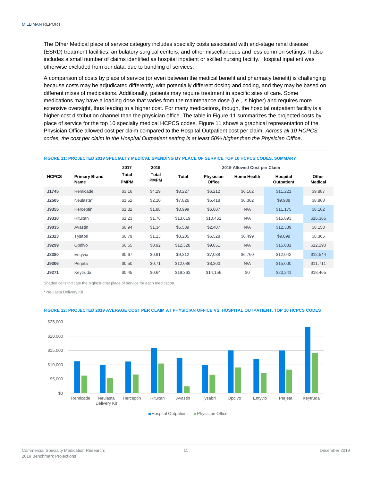The Other Medical place of service category includes specialty costs associated with end-stage renal disease (ESRD) treatment facilities, ambulatory surgical centers, and other miscellaneous and less common settings. It also includes a small number of claims identified as hospital inpatient or skilled nursing facility. Hospital inpatient was otherwise excluded from our data, due to bundling of services.

A comparison of costs by place of service (or even between the medical benefit and pharmacy benefit) is challenging because costs may be adjudicated differently, with potentially different dosing and coding, and they may be based on different mixes of medications. Additionally, patients may require treatment in specific sites of care. Some medications may have a loading dose that varies from the maintenance dose (i.e., is higher) and requires more extensive oversight, thus leading to a higher cost. For many medications, though, the hospital outpatient facility is a higher-cost distribution channel than the physician office. The table in Figure 11 summarizes the projected costs by place of service for the top 10 specialty medical HCPCS codes. Figure 11 shows a graphical representation of the Physician Office allowed cost per claim compared to the Hospital Outpatient cost per claim. *Across all 10 HCPCS codes, the cost per claim in the Hospital Outpatient setting is at least 50% higher than the Physician Office*.

| FIGURE 11: PROJECTED 2019 SPECIALTY MEDICAL SPENDING BY PLACE OF SERVICE TOP 10 HCPCS CODES, SUMMARY |  |
|------------------------------------------------------------------------------------------------------|--|
| $\sim$ $\sim$ $\sim$                                                                                 |  |

|              |                              | 2017                 | 2019                 | 2019 Allowed Cost per Claim |                     |                    |                        |                         |
|--------------|------------------------------|----------------------|----------------------|-----------------------------|---------------------|--------------------|------------------------|-------------------------|
| <b>HCPCS</b> | <b>Primary Brand</b><br>Name | Total<br><b>PMPM</b> | Total<br><b>PMPM</b> | <b>Total</b>                | Physician<br>Office | <b>Home Health</b> | Hospital<br>Outpatient | Other<br><b>Medical</b> |
| J1745        | Remicade                     | \$3.16               | \$4.29               | \$8,227                     | \$6,212             | \$6,162            | \$11,221               | \$9,887                 |
| J2505        | Neulasta*                    | \$1.52               | \$2.10               | \$7,826                     | \$5,418             | \$6,362            | \$9,938                | \$8,868                 |
| J9355        | Herceptin                    | \$1.32               | \$1.88               | \$8,999                     | \$6,607             | N/A                | \$11,175               | \$8,162                 |
| J9310        | Rituxan                      | \$1.23               | \$1.76               | \$13,619                    | \$10,461            | N/A                | \$15,893               | \$16,365                |
| J9035        | Avastin                      | \$0.94               | \$1.34               | \$5,539                     | \$2,407             | N/A                | \$12,339               | \$8,150                 |
| J2323        | Tysabri                      | \$0.79               | \$1.13               | \$8,205                     | \$6,528             | \$6,499            | \$9,899                | \$8,365                 |
| J9299        | Opdivo                       | \$0.65               | \$0.92               | \$12,328                    | \$9,051             | N/A                | \$15,081               | \$12,290                |
| J3380        | Entyvio                      | \$0.67               | \$0.91               | \$9,312                     | \$7,088             | \$6,760            | \$12,042               | \$12,544                |
| J9306        | Perjeta                      | \$0.50               | \$0.71               | \$12,086                    | \$8,300             | N/A                | \$15,000               | \$11,711                |
| J9271        | Keytruda                     | \$0.45               | \$0.64               | \$19,363                    | \$14,156            | \$0                | \$23,241               | \$18,465                |

Shaded cells indicate the highest-cost place of service for each medication.

\* Neulasta Delivery Kit



#### **FIGURE 12: PROJECTED 2019 AVERAGE COST PER CLAIM AT PHYSICIAN OFFICE VS. HOSPITAL OUTPATIENT, TOP 10 HCPCS CODES**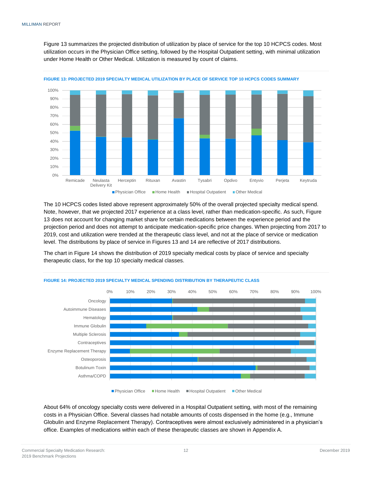Figure 13 summarizes the projected distribution of utilization by place of service for the top 10 HCPCS codes. Most utilization occurs in the Physician Office setting, followed by the Hospital Outpatient setting, with minimal utilization under Home Health or Other Medical. Utilization is measured by count of claims.



**FIGURE 13: PROJECTED 2019 SPECIALTY MEDICAL UTILIZATION BY PLACE OF SERVICE TOP 10 HCPCS CODES SUMMARY**

The 10 HCPCS codes listed above represent approximately 50% of the overall projected specialty medical spend. Note, however, that we projected 2017 experience at a class level, rather than medication-specific. As such, Figure 13 does not account for changing market share for certain medications between the experience period and the projection period and does not attempt to anticipate medication-specific price changes. When projecting from 2017 to 2019, cost and utilization were trended at the therapeutic class level, and not at the place of service or medication level. The distributions by place of service in Figures 13 and 14 are reflective of 2017 distributions.

The chart in Figure 14 shows the distribution of 2019 specialty medical costs by place of service and specialty therapeutic class, for the top 10 specialty medical classes.



#### **FIGURE 14: PROJECTED 2019 SPECIALTY MEDICAL SPENDING DISTRIBUTION BY THERAPEUTIC CLASS**

■Physician Office Home Health Hospital Outpatient IDther Medical

About 64% of oncology specialty costs were delivered in a Hospital Outpatient setting, with most of the remaining costs in a Physician Office. Several classes had notable amounts of costs dispensed in the home (e.g., Immune Globulin and Enzyme Replacement Therapy). Contraceptives were almost exclusively administered in a physician's office. Examples of medications within each of these therapeutic classes are shown in Appendix A.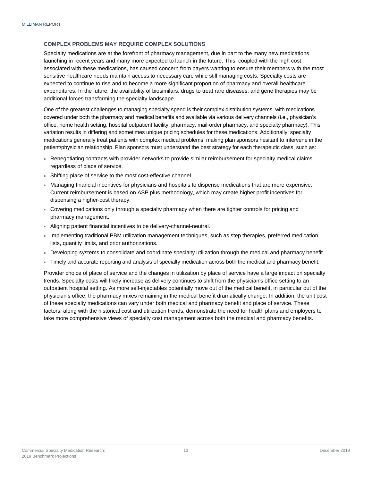#### **COMPLEX PROBLEMS MAY REQUIRE COMPLEX SOLUTIONS**

Specialty medications are at the forefront of pharmacy management, due in part to the many new medications launching in recent years and many more expected to launch in the future. This, coupled with the high cost associated with these medications, has caused concern from payers wanting to ensure their members with the most sensitive healthcare needs maintain access to necessary care while still managing costs. Specialty costs are expected to continue to rise and to become a more significant proportion of pharmacy and overall healthcare expenditures. In the future, the availability of biosimilars, drugs to treat rare diseases, and gene therapies may be additional forces transforming the specialty landscape.

One of the greatest challenges to managing specialty spend is their complex distribution systems, with medications covered under both the pharmacy and medical benefits and available via various delivery channels (i.e., physician's office, home health setting, hospital outpatient facility, pharmacy, mail-order pharmacy, and specialty pharmacy). This variation results in differing and sometimes unique pricing schedules for these medications. Additionally, specialty medications generally treat patients with complex medical problems, making plan sponsors hesitant to intervene in the patient/physician relationship. Plan sponsors must understand the best strategy for each therapeutic class, such as:

- Renegotiating contracts with provider networks to provide similar reimbursement for specialty medical claims regardless of place of service.
- Shifting place of service to the most cost-effective channel.
- Managing financial incentives for physicians and hospitals to dispense medications that are more expensive. Current reimbursement is based on ASP plus methodology, which may create higher profit incentives for dispensing a higher-cost therapy.
- Covering medications only through a specialty pharmacy when there are tighter controls for pricing and pharmacy management.
- Aligning patient financial incentives to be delivery-channel-neutral.
- Implementing traditional PBM utilization management techniques, such as step therapies, preferred medication lists, quantity limits, and prior authorizations.
- Developing systems to consolidate and coordinate specialty utilization through the medical and pharmacy benefit.
- Timely and accurate reporting and analysis of specialty medication across both the medical and pharmacy benefit.

<span id="page-15-0"></span>Provider choice of place of service and the changes in utilization by place of service have a large impact on specialty trends. Specialty costs will likely increase as delivery continues to shift from the physician's office setting to an outpatient hospital setting. As more self-injectables potentially move out of the medical benefit, in particular out of the physician's office, the pharmacy mixes remaining in the medical benefit dramatically change. In addition, the unit cost of these specialty medications can vary under both medical and pharmacy benefit and place of service. These factors, along with the historical cost and utilization trends, demonstrate the need for health plans and employers to take more comprehensive views of specialty cost management across both the medical and pharmacy benefits.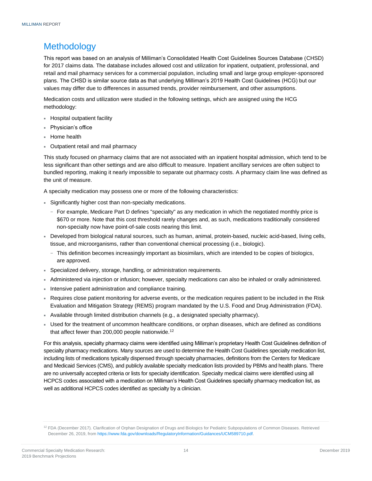### **Methodology**

This report was based on an analysis of Milliman's Consolidated Health Cost Guidelines Sources Database (CHSD) for 2017 claims data. The database includes allowed cost and utilization for inpatient, outpatient, professional, and retail and mail pharmacy services for a commercial population, including small and large group employer-sponsored plans. The CHSD is similar source data as that underlying Milliman's 2019 Health Cost Guidelines (HCG) but our values may differ due to differences in assumed trends, provider reimbursement, and other assumptions.

Medication costs and utilization were studied in the following settings, which are assigned using the HCG methodology:

- Hospital outpatient facility
- Physician's office
- Home health
- Outpatient retail and mail pharmacy

This study focused on pharmacy claims that are not associated with an inpatient hospital admission, which tend to be less significant than other settings and are also difficult to measure. Inpatient ancillary services are often subject to bundled reporting, making it nearly impossible to separate out pharmacy costs. A pharmacy claim line was defined as the unit of measure.

A specialty medication may possess one or more of the following characteristics:

- Significantly higher cost than non-specialty medications.
	- − For example, Medicare Part D defines "specialty" as any medication in which the negotiated monthly price is \$670 or more. Note that this cost threshold rarely changes and, as such, medications traditionally considered non-specialty now have point-of-sale costs nearing this limit.
- Developed from biological natural sources, such as human, animal, protein-based, nucleic acid-based, living cells, tissue, and microorganisms, rather than conventional chemical processing (i.e., biologic).
	- − This definition becomes increasingly important as biosimilars, which are intended to be copies of biologics, are approved.
- Specialized delivery, storage, handling, or administration requirements.
- Administered via injection or infusion; however, specialty medications can also be inhaled or orally administered.
- Intensive patient administration and compliance training.
- Requires close patient monitoring for adverse events, or the medication requires patient to be included in the Risk Evaluation and Mitigation Strategy (REMS) program mandated by the U.S. Food and Drug Administration (FDA).
- Available through limited distribution channels (e.g., a designated specialty pharmacy).
- Used for the treatment of uncommon healthcare conditions, or orphan diseases, which are defined as conditions that affect fewer than 200,000 people nationwide.<sup>12</sup>

For this analysis, specialty pharmacy claims were identified using Milliman's proprietary Health Cost Guidelines definition of specialty pharmacy medications. Many sources are used to determine the Health Cost Guidelines specialty medication list, including lists of medications typically dispensed through specialty pharmacies, definitions from the Centers for Medicare and Medicaid Services (CMS), and publicly available specialty medication lists provided by PBMs and health plans. There are no universally accepted criteria or lists for specialty identification. Specialty medical claims were identified using all HCPCS codes associated with a medication on Milliman's Health Cost Guidelines specialty pharmacy medication list, as well as additional HCPCS codes identified as specialty by a clinician.

<sup>&</sup>lt;sup>12</sup> FDA (December 2017). Clarification of Orphan Designation of Drugs and Biologics for Pediatric Subpopulations of Common Diseases. Retrieved December 26, 2019, fro[m https://www.fda.gov/downloads/RegulatoryInformation/Guidances/UCM589710.pdf.](https://www.fda.gov/downloads/RegulatoryInformation/Guidances/UCM589710.pdf)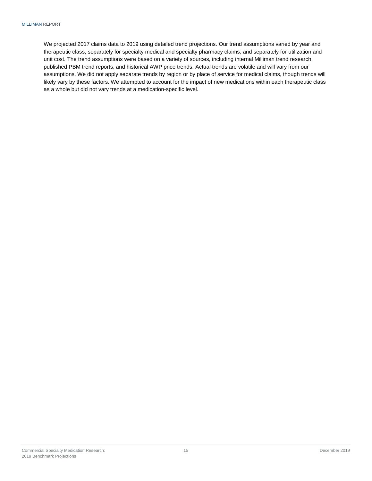<span id="page-17-0"></span>We projected 2017 claims data to 2019 using detailed trend projections. Our trend assumptions varied by year and therapeutic class, separately for specialty medical and specialty pharmacy claims, and separately for utilization and unit cost. The trend assumptions were based on a variety of sources, including internal Milliman trend research, published PBM trend reports, and historical AWP price trends. Actual trends are volatile and will vary from our assumptions. We did not apply separate trends by region or by place of service for medical claims, though trends will likely vary by these factors. We attempted to account for the impact of new medications within each therapeutic class as a whole but did not vary trends at a medication-specific level.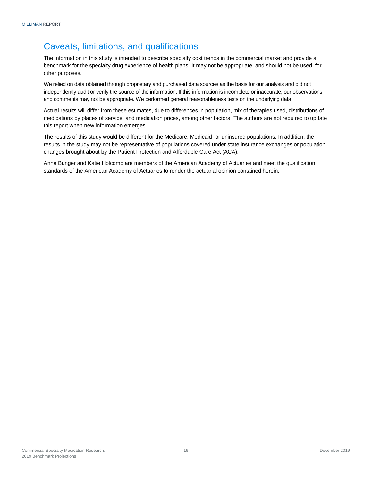### Caveats, limitations, and qualifications

The information in this study is intended to describe specialty cost trends in the commercial market and provide a benchmark for the specialty drug experience of health plans. It may not be appropriate, and should not be used, for other purposes.

We relied on data obtained through proprietary and purchased data sources as the basis for our analysis and did not independently audit or verify the source of the information. If this information is incomplete or inaccurate, our observations and comments may not be appropriate. We performed general reasonableness tests on the underlying data.

Actual results will differ from these estimates, due to differences in population, mix of therapies used, distributions of medications by places of service, and medication prices, among other factors. The authors are not required to update this report when new information emerges.

The results of this study would be different for the Medicare, Medicaid, or uninsured populations. In addition, the results in the study may not be representative of populations covered under state insurance exchanges or population changes brought about by the Patient Protection and Affordable Care Act (ACA).

<span id="page-18-0"></span>Anna Bunger and Katie Holcomb are members of the American Academy of Actuaries and meet the qualification standards of the American Academy of Actuaries to render the actuarial opinion contained herein.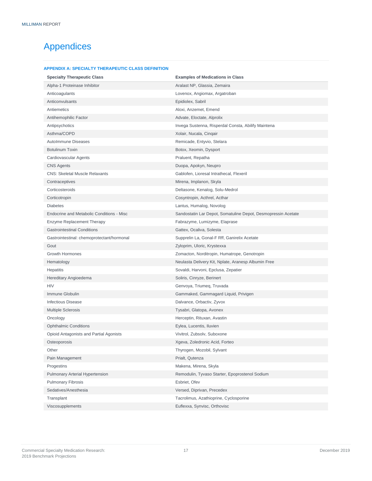### Appendices

#### **APPENDIX A: SPECIALTY THERAPEUTIC CLASS DEFINITION**

| <b>Specialty Therapeutic Class</b>         | <b>Examples of Medications in Class</b>                       |
|--------------------------------------------|---------------------------------------------------------------|
| Alpha-1 Proteinase Inhibitor               | Aralast NP, Glassia, Zemaira                                  |
| Anticoagulants                             | Lovenox, Angiomax, Argatroban                                 |
| Anticonvulsants                            | Epidiolex, Sabril                                             |
| Antiemetics                                | Aloxi, Anzemet, Emend                                         |
| Antihemophilic Factor                      | Advate, Eloctate, Alprolix                                    |
| Antipsychotics                             | Invega Sustenna, Risperdal Consta, Abilify Maintena           |
| Asthma/COPD                                | Xolair, Nucala, Cinqair                                       |
| AutoImmune Diseases                        | Remicade, Entyvio, Stelara                                    |
| <b>Botulinum Toxin</b>                     | Botox, Xeomin, Dysport                                        |
| Cardiovascular Agents                      | Praluent, Repatha                                             |
| <b>CNS Agents</b>                          | Duopa, Apokyn, Neupro                                         |
| <b>CNS: Skeletal Muscle Relaxants</b>      | Gablofen, Lioresal Intrathecal, Flexeril                      |
| Contraceptives                             | Mirena, Implanon, Skyla                                       |
| Corticosteroids                            | Deltasone, Kenalog, Solu-Medrol                               |
| Corticotropin                              | Cosyntropin, Acthrel, Acthar                                  |
| <b>Diabetes</b>                            | Lantus, Humalog, Novolog                                      |
| Endocrine and Metabolic Conditions - Misc  | Sandostatin Lar Depot, Somatuline Depot, Desmopressin Acetate |
| <b>Enzyme Replacement Therapy</b>          | Fabrazyme, Lumizyme, Elaprase                                 |
| <b>Gastrointestinal Conditions</b>         | Gattex, Ocaliva, Solesta                                      |
| Gastrointestinal: chemoprotectant/hormonal | Supprelin La, Gonal-F Rff, Ganirelix Acetate                  |
| Gout                                       | Zyloprim, Uloric, Krystexxa                                   |
| <b>Growth Hormones</b>                     | Zomacton, Norditropin, Humatrope, Genotropin                  |
| Hematology                                 | Neulasta Delivery Kit, Nplate, Aranesp Albumin Free           |
| <b>Hepatitis</b>                           | Sovaldi, Harvoni, Epclusa, Zepatier                           |
| Hereditary Angioedema                      | Soliris, Cinryze, Berinert                                    |
| <b>HIV</b>                                 | Genvoya, Triumeq, Truvada                                     |
| Immune Globulin                            | Gammaked, Gammagard Liquid, Privigen                          |
| <b>Infectious Disease</b>                  | Dalvance, Orbactiv, Zyvox                                     |
| <b>Multiple Sclerosis</b>                  | Tysabri, Glatopa, Avonex                                      |
| Oncology                                   | Herceptin, Rituxan, Avastin                                   |
| <b>Ophthalmic Conditions</b>               | Eylea, Lucentis, Iluvien                                      |
| Opioid Antagonists and Partial Agonists    | Vivitrol, Zubsolv, Suboxone                                   |
| Osteoporosis                               | Xgeva, Zoledronic Acid, Forteo                                |
| Other                                      | Thyrogen, Mozobil, Sylvant                                    |
| Pain Management                            | Prialt, Qutenza                                               |
| Progestins                                 | Makena, Mirena, Skyla                                         |
| <b>Pulmonary Arterial Hypertension</b>     | Remodulin, Tyvaso Starter, Epoprostenol Sodium                |
| <b>Pulmonary Fibrosis</b>                  | Esbriet, Ofev                                                 |
| Sedatives/Anesthesia                       | Versed, Diprivan, Precedex                                    |
| Transplant                                 | Tacrolimus, Azathioprine, Cyclosporine                        |
| Viscosupplements                           | Euflexxa, Synvisc, Orthovisc                                  |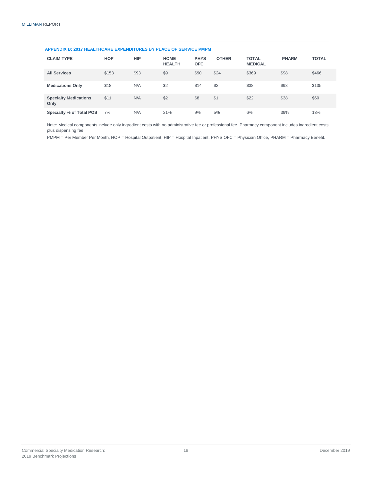#### **APPENDIX B: 2017 HEALTHCARE EXPENDITURES BY PLACE OF SERVICE PMPM**

| <b>CLAIM TYPE</b>                    | <b>HOP</b> | <b>HIP</b> | <b>HOME</b><br><b>HEALTH</b> | <b>PHYS</b><br><b>OFC</b> | <b>OTHER</b> | <b>TOTAL</b><br><b>MEDICAL</b> | <b>PHARM</b> | <b>TOTAL</b> |
|--------------------------------------|------------|------------|------------------------------|---------------------------|--------------|--------------------------------|--------------|--------------|
| <b>All Services</b>                  | \$153      | \$93       | \$9                          | \$90                      | \$24         | \$369                          | \$98         | \$466        |
| <b>Medications Only</b>              | \$18       | N/A        | \$2                          | \$14                      | \$2          | \$38                           | \$98         | \$135        |
| <b>Specialty Medications</b><br>Only | \$11       | N/A        | \$2                          | \$8                       | \$1          | \$22                           | \$38         | \$60         |
| <b>Specialty % of Total POS</b>      | 7%         | N/A        | 21%                          | 9%                        | 5%           | 6%                             | 39%          | 13%          |

Note: Medical components include only ingredient costs with no administrative fee or professional fee. Pharmacy component includes ingredient costs plus dispensing fee.

PMPM = Per Member Per Month, HOP = Hospital Outpatient, HIP = Hospital Inpatient, PHYS OFC = Physician Office, PHARM = Pharmacy Benefit.